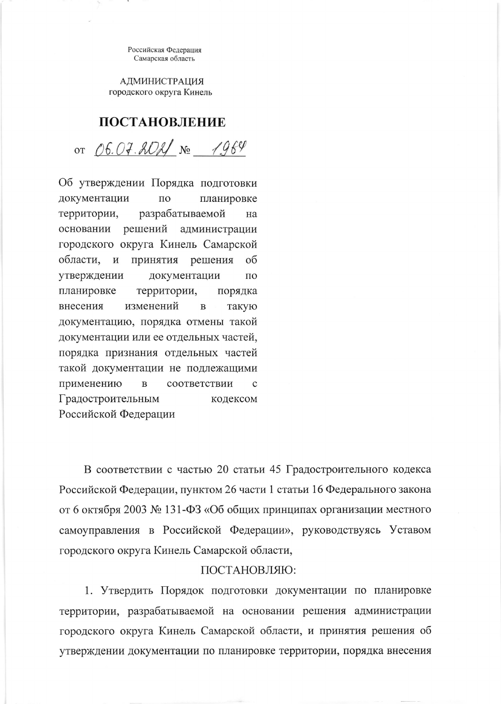Российская Федерация Самарская область

**АДМИНИСТРАЦИЯ** городского округа Кинель

## ПОСТАНОВЛЕНИЕ

от *06.07.2021* № 1964

Об утверждении Порядка подготовки документации  $\Pi{\rm O}$ планировке разрабатываемой территории, на основании решений администрации городского округа Кинель Самарской области,  $\mathbf H$ принятия решения об утверждении документации  $\Pi$ O планировке территории, порядка внесения изменений  $\, {\bf B}$ такую документацию, порядка отмены такой документации или ее отдельных частей, порядка признания отдельных частей такой документации не подлежащими применению  $\, {\bf B}$ соответствии  $\mathbf{C}$ Градостроительным кодексом Российской Федерации

В соответствии с частью 20 статьи 45 Градостроительного кодекса Российской Федерации, пунктом 26 части 1 статьи 16 Федерального закона от 6 октября 2003 № 131-ФЗ «Об общих принципах организации местного самоуправления в Российской Федерации», руководствуясь Уставом городского округа Кинель Самарской области,

## ПОСТАНОВЛЯЮ:

1. Утвердить Порядок подготовки документации по планировке территории, разрабатываемой на основании решения администрации городского округа Кинель Самарской области, и принятия решения об утверждении документации по планировке территории, порядка внесения